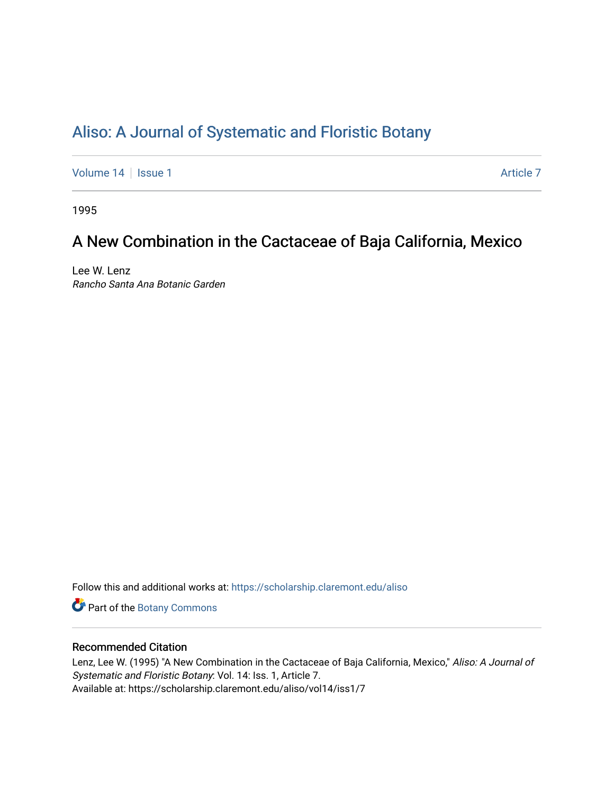# [Aliso: A Journal of Systematic and Floristic Botany](https://scholarship.claremont.edu/aliso)

[Volume 14](https://scholarship.claremont.edu/aliso/vol14) | [Issue 1](https://scholarship.claremont.edu/aliso/vol14/iss1) Article 7

1995

## A New Combination in the Cactaceae of Baja California, Mexico

Lee W. Lenz Rancho Santa Ana Botanic Garden

Follow this and additional works at: [https://scholarship.claremont.edu/aliso](https://scholarship.claremont.edu/aliso?utm_source=scholarship.claremont.edu%2Faliso%2Fvol14%2Fiss1%2F7&utm_medium=PDF&utm_campaign=PDFCoverPages) 

Part of the [Botany Commons](https://network.bepress.com/hgg/discipline/104?utm_source=scholarship.claremont.edu%2Faliso%2Fvol14%2Fiss1%2F7&utm_medium=PDF&utm_campaign=PDFCoverPages) 

### Recommended Citation

Lenz, Lee W. (1995) "A New Combination in the Cactaceae of Baja California, Mexico," Aliso: A Journal of Systematic and Floristic Botany: Vol. 14: Iss. 1, Article 7. Available at: https://scholarship.claremont.edu/aliso/vol14/iss1/7